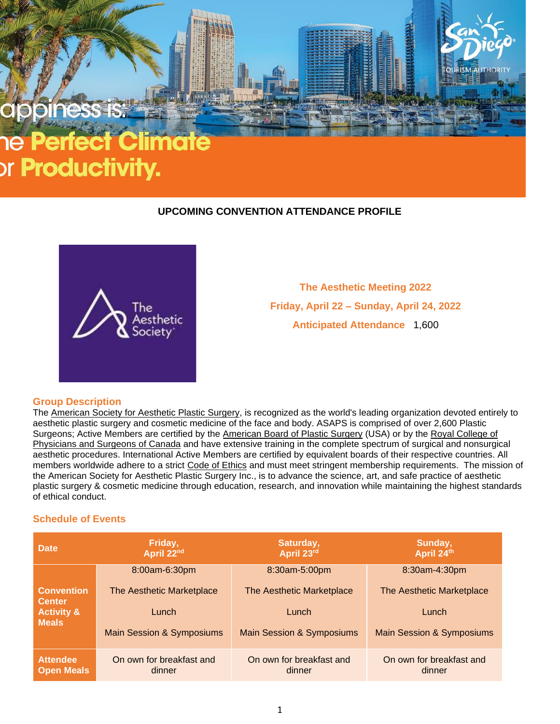

# or **Productivity.**

# **UPCOMING CONVENTION ATTENDANCE PROFILE**



**The Aesthetic Meeting 2022 Friday, April 22 – Sunday, April 24, 2022 Anticipated Attendance** 1,600

#### **Group Description**

The [American](http://www.surgery.org/) Society for Aesthetic Plastic Surgery, is recognized as the world's leading organization devoted entirely to aesthetic plastic surgery and cosmetic medicine of the face and body. ASAPS is comprised of over 2,600 Plastic Surgeons; Active Members are certified by the [American](https://www.abplsurg.org/) Board of Plastic Surgery (USA) or by the Royal [College](http://www.rcpsc.edu/) of [Physicians](http://www.rcpsc.edu/) and Surgeons of Canada and have extensive training in the complete spectrum of surgical and nonsurgical aesthetic procedures. International Active Members are certified by equivalent boards of their respective countries. All members worldwide adhere to a strict Code of [Ethics](http://www.surgery.org/downloads/private/CodeofEthics.pdf) and must meet stringent membership requirements. The mission of the American Society for Aesthetic Plastic Surgery Inc., is to advance the science, art, and safe practice of aesthetic plastic surgery & cosmetic medicine through education, research, and innovation while maintaining the highest standards of ethical conduct.

# **Schedule of Events**

| <b>Date</b>                                                                 | Friday,<br>April 22nd                | Saturday,<br>April 23rd              | Sunday,<br>April 24th                |
|-----------------------------------------------------------------------------|--------------------------------------|--------------------------------------|--------------------------------------|
| <b>Convention</b><br><b>Center</b><br><b>Activity &amp;</b><br><b>Meals</b> | 8:00am-6:30pm                        | 8:30am-5:00pm                        | 8:30am-4:30pm                        |
|                                                                             | The Aesthetic Marketplace            | The Aesthetic Marketplace            | The Aesthetic Marketplace            |
|                                                                             | Lunch                                | Lunch                                | Lunch                                |
|                                                                             | <b>Main Session &amp; Symposiums</b> | <b>Main Session &amp; Symposiums</b> | <b>Main Session &amp; Symposiums</b> |
| <b>Attendee</b><br><b>Open Meals</b>                                        | On own for breakfast and<br>dinner   | On own for breakfast and<br>dinner   | On own for breakfast and<br>dinner   |